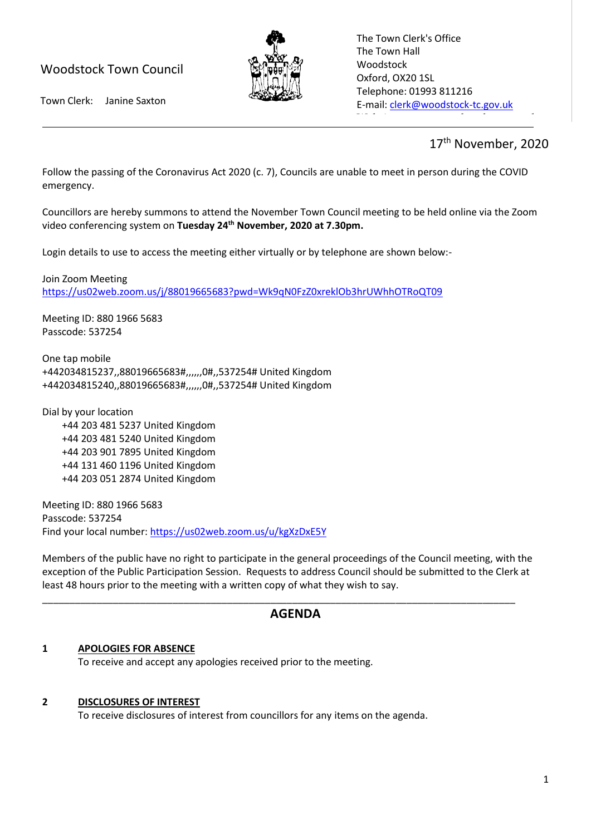## Woodstock Town Council



The Town Clerk's Office The Town Hall Woodstock Oxford, OX20 1SL Telephone: 01993 811216 E-mail[: clerk@woodstock-tc.gov.uk](mailto:clerk@woodstock-tc.gov.uk)

 $W_{\rm eff}$  with  $W_{\rm eff}$  and  $W_{\rm eff}$  woodstock-tc.gov.uk

Town Clerk: Janine Saxton

# 17<sup>th</sup> November, 2020

Follow the passing of the Coronavirus Act 2020 (c. 7), Councils are unable to meet in person during the COVID emergency.

Councillors are hereby summons to attend the November Town Council meeting to be held online via the Zoom video conferencing system on **Tuesday 24th November, 2020 at 7.30pm.**

Login details to use to access the meeting either virtually or by telephone are shown below:-

Join Zoom Meeting <https://us02web.zoom.us/j/88019665683?pwd=Wk9qN0FzZ0xreklOb3hrUWhhOTRoQT09>

Meeting ID: 880 1966 5683 Passcode: 537254

One tap mobile +442034815237,,88019665683#,,,,,,0#,,537254# United Kingdom +442034815240,,88019665683#,,,,,,0#,,537254# United Kingdom

Dial by your location +44 203 481 5237 United Kingdom +44 203 481 5240 United Kingdom +44 203 901 7895 United Kingdom +44 131 460 1196 United Kingdom +44 203 051 2874 United Kingdom

Meeting ID: 880 1966 5683 Passcode: 537254 Find your local number:<https://us02web.zoom.us/u/kgXzDxE5Y>

Members of the public have no right to participate in the general proceedings of the Council meeting, with the exception of the Public Participation Session. Requests to address Council should be submitted to the Clerk at least 48 hours prior to the meeting with a written copy of what they wish to say.

\_\_\_\_\_\_\_\_\_\_\_\_\_\_\_\_\_\_\_\_\_\_\_\_\_\_\_\_\_\_\_\_\_\_\_\_\_\_\_\_\_\_\_\_\_\_\_\_\_\_\_\_\_\_\_\_\_\_\_\_\_\_\_\_\_\_\_\_\_\_\_\_\_\_\_\_\_\_\_\_\_\_\_\_\_\_\_

### **AGENDA**

#### **1 APOLOGIES FOR ABSENCE**

To receive and accept any apologies received prior to the meeting.

#### **2 DISCLOSURES OF INTEREST**

To receive disclosures of interest from councillors for any items on the agenda.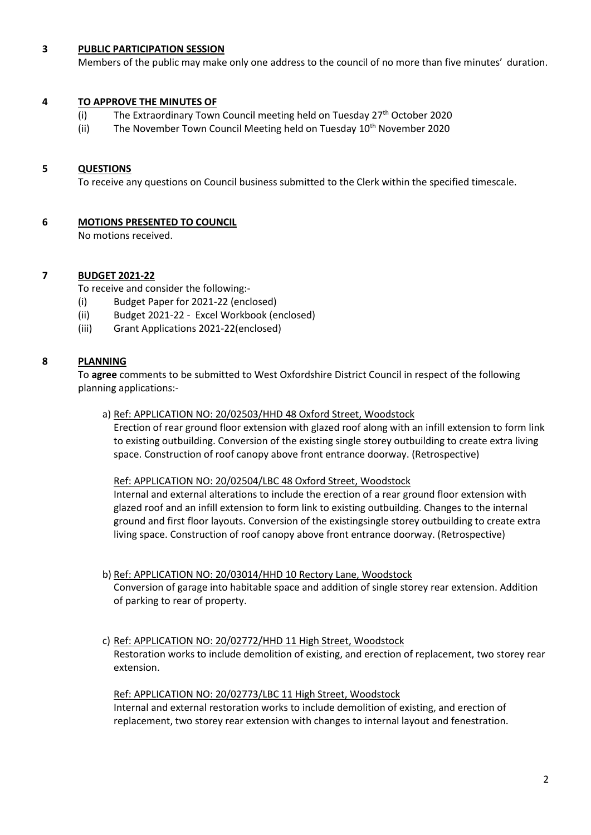#### **3 PUBLIC PARTICIPATION SESSION**

Members of the public may make only one address to the council of no more than five minutes' duration.

#### **4 TO APPROVE THE MINUTES OF**

- (i) The Extraordinary Town Council meeting held on Tuesday  $27<sup>th</sup>$  October 2020
- (ii) The November Town Council Meeting held on Tuesday  $10<sup>th</sup>$  November 2020

#### **5 QUESTIONS**

To receive any questions on Council business submitted to the Clerk within the specified timescale.

#### **6 MOTIONS PRESENTED TO COUNCIL**

No motions received.

#### **7 BUDGET 2021-22**

To receive and consider the following:-

- (i) Budget Paper for 2021-22 (enclosed)
- (ii) Budget 2021-22 Excel Workbook (enclosed)
- (iii) Grant Applications 2021-22(enclosed)

#### **8 PLANNING**

To **agree** comments to be submitted to West Oxfordshire District Council in respect of the following planning applications:-

a) Ref: APPLICATION NO: 20/02503/HHD 48 Oxford Street, Woodstock

Erection of rear ground floor extension with glazed roof along with an infill extension to form link to existing outbuilding. Conversion of the existing single storey outbuilding to create extra living space. Construction of roof canopy above front entrance doorway. (Retrospective)

Ref: APPLICATION NO: 20/02504/LBC 48 Oxford Street, Woodstock

Internal and external alterations to include the erection of a rear ground floor extension with glazed roof and an infill extension to form link to existing outbuilding. Changes to the internal ground and first floor layouts. Conversion of the existingsingle storey outbuilding to create extra living space. Construction of roof canopy above front entrance doorway. (Retrospective)

- b) Ref: APPLICATION NO: 20/03014/HHD 10 Rectory Lane, Woodstock Conversion of garage into habitable space and addition of single storey rear extension. Addition of parking to rear of property.
- c) Ref: APPLICATION NO: 20/02772/HHD 11 High Street, Woodstock Restoration works to include demolition of existing, and erection of replacement, two storey rear extension.

Ref: APPLICATION NO: 20/02773/LBC 11 High Street, Woodstock Internal and external restoration works to include demolition of existing, and erection of replacement, two storey rear extension with changes to internal layout and fenestration.